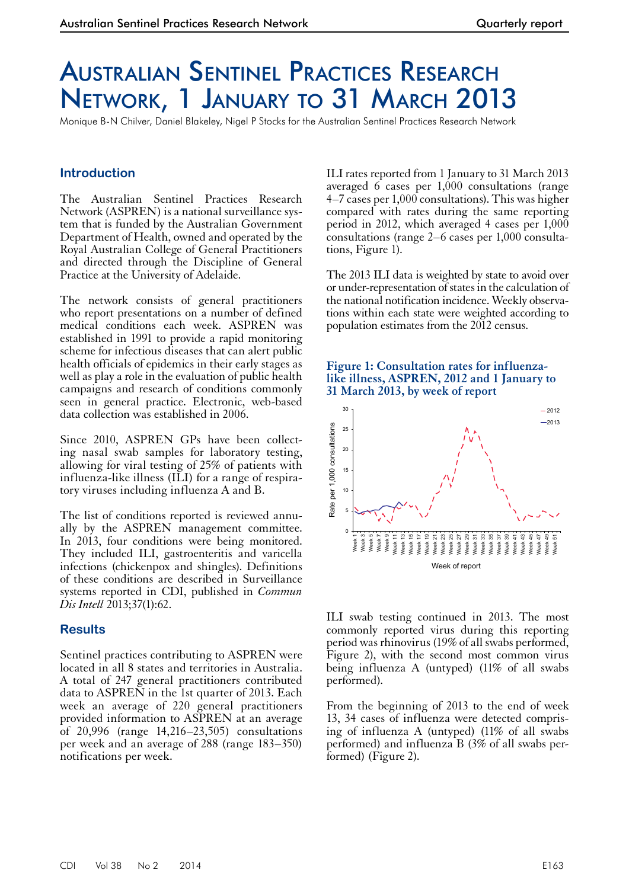# Australian Sentinel Practices Research Network, 1 January to 31 March 2013

Monique B-N Chilver, Daniel Blakeley, Nigel P Stocks for the Australian Sentinel Practices Research Network

## **Introduction**

The Australian Sentinel Practices Research Network (ASPREN) is a national surveillance system that is funded by the Australian Government Department of Health, owned and operated by the Royal Australian College of General Practitioners and directed through the Discipline of General Practice at the University of Adelaide.

The network consists of general practitioners who report presentations on a number of defined medical conditions each week. ASPREN was established in 1991 to provide a rapid monitoring scheme for infectious diseases that can alert public health officials of epidemics in their early stages as well as play a role in the evaluation of public health campaigns and research of conditions commonly seen in general practice. Electronic, web-based data collection was established in 2006.

Since 2010, ASPREN GPs have been collecting nasal swab samples for laboratory testing, allowing for viral testing of 25% of patients with influenza-like illness (ILI) for a range of respiratory viruses including influenza A and B.

The list of conditions reported is reviewed annu- ally by the ASPREN management committee. In 2013, four conditions were being monitored. They included ILI, gastroenteritis and varicella infections (chickenpox and shingles). Definitions of these conditions are described in Surveillance systems reported in CDI, published in *Commun Dis Intell* 2013;37(1):62.

### **Results**

Sentinel practices contributing to ASPREN were located in all 8 states and territories in Australia. A total of 247 general practitioners contributed data to ASPREN in the 1st quarter of 2013. Each week an average of 220 general practitioners provided information to ASPREN at an average of 20,996 (range 14,216–23,505) consultations per week and an average of 288 (range 183–350) notifications per week.

ILI rates reported from 1 January to 31 March 2013 averaged 6 cases per 1,000 consultations (range 4–7 cases per 1,000 consultations). This was higher compared with rates during the same reporting period in 2012, which averaged 4 cases per 1,000 consultations (range 2–6 cases per 1,000 consultations, Figure 1).

The 2013 ILI data is weighted by state to avoid over or under-representation of states in the calculation of the national notification incidence. Weekly observations within each state were weighted according to population estimates from the 2012 census.

#### **Figure 1: Consultation rates for influenzalike illness, ASPREN, 2012 and 1 January to 31 March 2013, by week of report**



ILI swab testing continued in 2013. The most commonly reported virus during this reporting period was rhinovirus (19% of all swabs performed, Figure 2), with the second most common virus being influenza A (untyped) (11% of all swabs performed).

From the beginning of 2013 to the end of week 13, 34 cases of influenza were detected compris- ing of influenza A (untyped) (11% of all swabs performed) and influenza B (3% of all swabs per- formed) (Figure 2).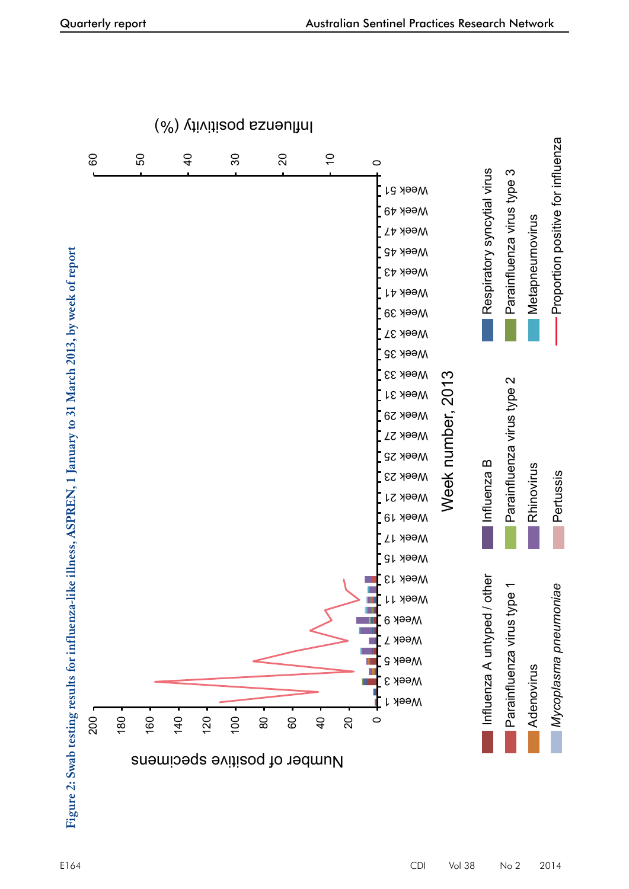*Myc*

*oplasma*

*p n e u m o nia e*

 $\mathsf{p}$ ertu s

sis **Calculation** Proportion positive for influenza

Proportion positive for influenza